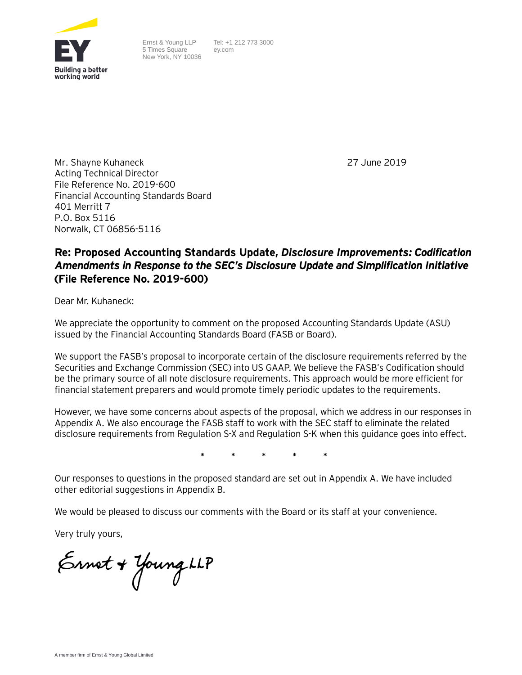

Ernst & Young LLP 5 Times Square New York, NY 10036 Tel: +1 212 773 3000 ey.com

27 June 2019

Mr. Shayne Kuhaneck Acting Technical Director File Reference No. 2019-600 Financial Accounting Standards Board 401 Merritt 7 P.O. Box 5116 Norwalk, CT 06856-5116

# **Re: Proposed Accounting Standards Update,** *Disclosure Improvements: Codification Amendments in Response to the SEC's Disclosure Update and Simplification Initiative*  **(File Reference No. 2019-600)**

Dear Mr. Kuhaneck:

We appreciate the opportunity to comment on the proposed Accounting Standards Update (ASU) issued by the Financial Accounting Standards Board (FASB or Board).

We support the FASB's proposal to incorporate certain of the disclosure requirements referred by the Securities and Exchange Commission (SEC) into US GAAP. We believe the FASB's Codification should be the primary source of all note disclosure requirements. This approach would be more efficient for financial statement preparers and would promote timely periodic updates to the requirements.

However, we have some concerns about aspects of the proposal, which we address in our responses in Appendix A. We also encourage the FASB staff to work with the SEC staff to eliminate the related disclosure requirements from Regulation S-X and Regulation S-K when this guidance goes into effect.

**\* \* \* \* \***

Our responses to questions in the proposed standard are set out in Appendix A. We have included other editorial suggestions in Appendix B.

We would be pleased to discuss our comments with the Board or its staff at your convenience.

Very truly yours,

Ernet + Young LLP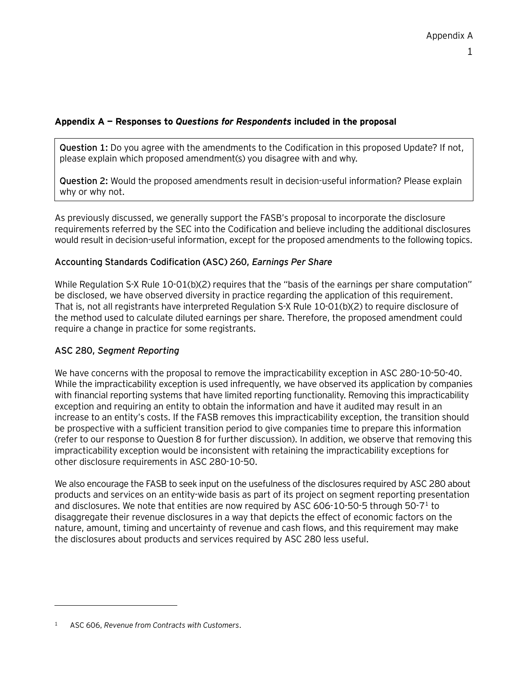#### **Appendix A — Responses to** *Questions for Respondents* **included in the proposal**

**Question 1:** Do you agree with the amendments to the Codification in this proposed Update? If not, please explain which proposed amendment(s) you disagree with and why.

**Question 2:** Would the proposed amendments result in decision-useful information? Please explain why or why not.

As previously discussed, we generally support the FASB's proposal to incorporate the disclosure requirements referred by the SEC into the Codification and believe including the additional disclosures would result in decision-useful information, except for the proposed amendments to the following topics.

#### **Accounting Standards Codification (ASC) 260,** *Earnings Per Share*

While Regulation S-X Rule 10-01(b)(2) requires that the "basis of the earnings per share computation" be disclosed, we have observed diversity in practice regarding the application of this requirement. That is, not all registrants have interpreted Regulation S-X Rule 10-01(b)(2) to require disclosure of the method used to calculate diluted earnings per share. Therefore, the proposed amendment could require a change in practice for some registrants.

#### **ASC 280,** *Segment Reporting*

We have concerns with the proposal to remove the impracticability exception in ASC 280-10-50-40. While the impracticability exception is used infrequently, we have observed its application by companies with financial reporting systems that have limited reporting functionality. Removing this impracticability exception and requiring an entity to obtain the information and have it audited may result in an increase to an entity's costs. If the FASB removes this impracticability exception, the transition should be prospective with a sufficient transition period to give companies time to prepare this information (refer to our response to Question 8 for further discussion). In addition, we observe that removing this impracticability exception would be inconsistent with retaining the impracticability exceptions for other disclosure requirements in ASC 280-10-50.

We also encourage the FASB to seek input on the usefulness of the disclosures required by ASC 280 about products and services on an entity-wide basis as part of its project on segment reporting presentation and disclosures. We note that entities are now required by ASC 606-10-50-5 through 50-7[1](#page-1-0) to disaggregate their revenue disclosures in a way that depicts the effect of economic factors on the nature, amount, timing and uncertainty of revenue and cash flows, and this requirement may make the disclosures about products and services required by ASC 280 less useful.

-

<span id="page-1-0"></span><sup>1</sup> ASC 606, *Revenue from Contracts with Customers*.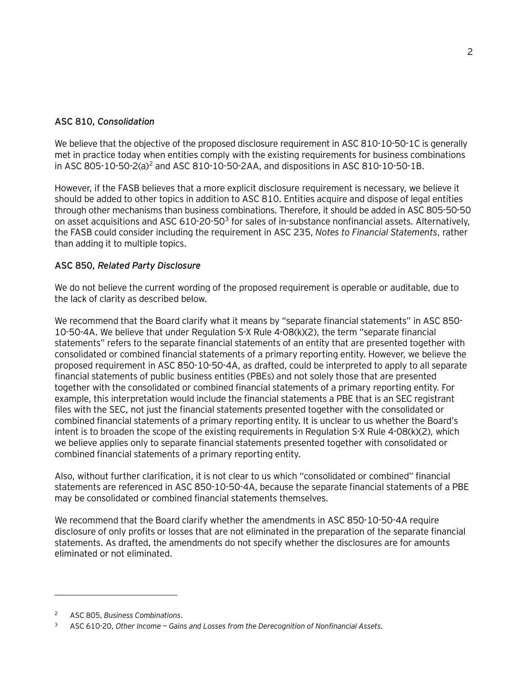### **ASC 810,** *Consolidation*

We believe that the objective of the proposed disclosure requirement in ASC 810-10-50-1C is generally met in practice today when entities comply with the existing requirements for business combinations in ASC 805-10-50-2(a)[2](#page-2-0) and ASC 810-10-50-2AA, and dispositions in ASC 810-10-50-1B.

However, if the FASB believes that a more explicit disclosure requirement is necessary, we believe it should be added to other topics in addition to ASC 810. Entities acquire and dispose of legal entities through other mechanisms than business combinations. Therefore, it should be added in ASC 805-50-50 on asset acquisitions and ASC 610-20-50<sup>3</sup> for sales of in-substance nonfinancial assets. Alternatively, the FASB could consider including the requirement in ASC 235, *Notes to Financial Statements*, rather than adding it to multiple topics.

## **ASC 850,** *Related Party Disclosure*

We do not believe the current wording of the proposed requirement is operable or auditable, due to the lack of clarity as described below.

We recommend that the Board clarify what it means by "separate financial statements" in ASC 850- 10-50-4A. We believe that under Regulation S-X Rule 4-08(k)(2), the term "separate financial statements" refers to the separate financial statements of an entity that are presented together with consolidated or combined financial statements of a primary reporting entity. However, we believe the proposed requirement in ASC 850-10-50-4A, as drafted, could be interpreted to apply to all separate financial statements of public business entities (PBEs) and not solely those that are presented together with the consolidated or combined financial statements of a primary reporting entity. For example, this interpretation would include the financial statements a PBE that is an SEC registrant files with the SEC, not just the financial statements presented together with the consolidated or combined financial statements of a primary reporting entity. It is unclear to us whether the Board's intent is to broaden the scope of the existing requirements in Regulation S-X Rule 4-08(k)(2), which we believe applies only to separate financial statements presented together with consolidated or combined financial statements of a primary reporting entity.

Also, without further clarification, it is not clear to us which "consolidated or combined" financial statements are referenced in ASC 850-10-50-4A, because the separate financial statements of a PBE may be consolidated or combined financial statements themselves.

We recommend that the Board clarify whether the amendments in ASC 850-10-50-4A require disclosure of only profits or losses that are not eliminated in the preparation of the separate financial statements. As drafted, the amendments do not specify whether the disclosures are for amounts eliminated or not eliminated.

-

<span id="page-2-0"></span><sup>2</sup> ASC 805, *Business Combinations*.

<span id="page-2-1"></span><sup>3</sup> ASC 610-20, *Other Income — Gains and Losses from the Derecognition of Nonfinancial Assets*.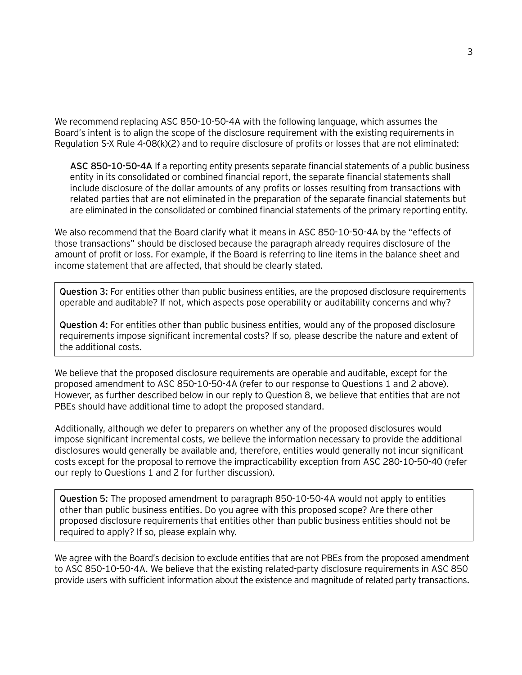We recommend replacing ASC 850-10-50-4A with the following language, which assumes the Board's intent is to align the scope of the disclosure requirement with the existing requirements in Regulation S-X Rule 4-08(k)(2) and to require disclosure of profits or losses that are not eliminated:

**ASC 850-10-50-4A** If a reporting entity presents separate financial statements of a public business entity in its consolidated or combined financial report, the separate financial statements shall include disclosure of the dollar amounts of any profits or losses resulting from transactions with related parties that are not eliminated in the preparation of the separate financial statements but are eliminated in the consolidated or combined financial statements of the primary reporting entity.

We also recommend that the Board clarify what it means in ASC 850-10-50-4A by the "effects of those transactions" should be disclosed because the paragraph already requires disclosure of the amount of profit or loss. For example, if the Board is referring to line items in the balance sheet and income statement that are affected, that should be clearly stated.

**Question 3:** For entities other than public business entities, are the proposed disclosure requirements operable and auditable? If not, which aspects pose operability or auditability concerns and why?

**Question 4:** For entities other than public business entities, would any of the proposed disclosure requirements impose significant incremental costs? If so, please describe the nature and extent of the additional costs.

We believe that the proposed disclosure requirements are operable and auditable, except for the proposed amendment to ASC 850-10-50-4A (refer to our response to Questions 1 and 2 above). However, as further described below in our reply to Question 8, we believe that entities that are not PBEs should have additional time to adopt the proposed standard.

Additionally, although we defer to preparers on whether any of the proposed disclosures would impose significant incremental costs, we believe the information necessary to provide the additional disclosures would generally be available and, therefore, entities would generally not incur significant costs except for the proposal to remove the impracticability exception from ASC 280-10-50-40 (refer our reply to Questions 1 and 2 for further discussion).

**Question 5:** The proposed amendment to paragraph 850-10-50-4A would not apply to entities other than public business entities. Do you agree with this proposed scope? Are there other proposed disclosure requirements that entities other than public business entities should not be required to apply? If so, please explain why.

We agree with the Board's decision to exclude entities that are not PBEs from the proposed amendment to ASC 850-10-50-4A. We believe that the existing related-party disclosure requirements in ASC 850 provide users with sufficient information about the existence and magnitude of related party transactions.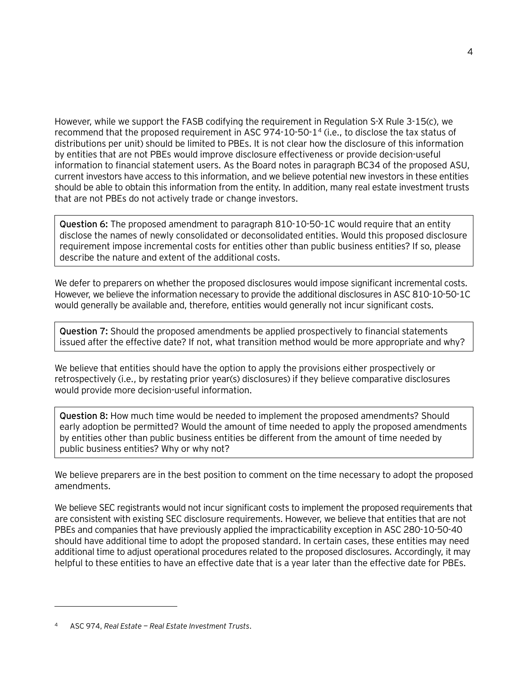However, while we support the FASB codifying the requirement in Regulation S-X Rule 3-15(c), we recommend that the proposed requirement in ASC 974-10-50-1[4](#page-4-0) (i.e., to disclose the tax status of distributions per unit) should be limited to PBEs. It is not clear how the disclosure of this information by entities that are not PBEs would improve disclosure effectiveness or provide decision-useful information to financial statement users. As the Board notes in paragraph BC34 of the proposed ASU, current investors have access to this information, and we believe potential new investors in these entities should be able to obtain this information from the entity. In addition, many real estate investment trusts that are not PBEs do not actively trade or change investors.

**Question 6:** The proposed amendment to paragraph 810-10-50-1C would require that an entity disclose the names of newly consolidated or deconsolidated entities. Would this proposed disclosure requirement impose incremental costs for entities other than public business entities? If so, please describe the nature and extent of the additional costs.

We defer to preparers on whether the proposed disclosures would impose significant incremental costs. However, we believe the information necessary to provide the additional disclosures in ASC 810-10-50-1C would generally be available and, therefore, entities would generally not incur significant costs.

**Question 7:** Should the proposed amendments be applied prospectively to financial statements issued after the effective date? If not, what transition method would be more appropriate and why?

We believe that entities should have the option to apply the provisions either prospectively or retrospectively (i.e., by restating prior year(s) disclosures) if they believe comparative disclosures would provide more decision-useful information.

**Question 8:** How much time would be needed to implement the proposed amendments? Should early adoption be permitted? Would the amount of time needed to apply the proposed amendments by entities other than public business entities be different from the amount of time needed by public business entities? Why or why not?

We believe preparers are in the best position to comment on the time necessary to adopt the proposed amendments.

We believe SEC registrants would not incur significant costs to implement the proposed requirements that are consistent with existing SEC disclosure requirements. However, we believe that entities that are not PBEs and companies that have previously applied the impracticability exception in ASC 280-10-50-40 should have additional time to adopt the proposed standard. In certain cases, these entities may need additional time to adjust operational procedures related to the proposed disclosures. Accordingly, it may helpful to these entities to have an effective date that is a year later than the effective date for PBEs.

 $\overline{a}$ 

<span id="page-4-0"></span><sup>4</sup> ASC 974, *Real Estate — Real Estate Investment Trusts*.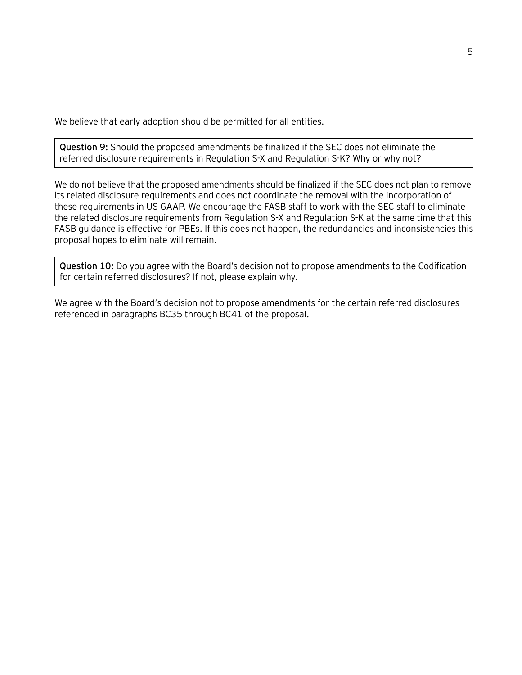We believe that early adoption should be permitted for all entities.

**Question 9:** Should the proposed amendments be finalized if the SEC does not eliminate the referred disclosure requirements in Regulation S-X and Regulation S-K? Why or why not?

We do not believe that the proposed amendments should be finalized if the SEC does not plan to remove its related disclosure requirements and does not coordinate the removal with the incorporation of these requirements in US GAAP. We encourage the FASB staff to work with the SEC staff to eliminate the related disclosure requirements from Regulation S-X and Regulation S-K at the same time that this FASB guidance is effective for PBEs. If this does not happen, the redundancies and inconsistencies this proposal hopes to eliminate will remain.

**Question 10:** Do you agree with the Board's decision not to propose amendments to the Codification for certain referred disclosures? If not, please explain why.

We agree with the Board's decision not to propose amendments for the certain referred disclosures referenced in paragraphs BC35 through BC41 of the proposal.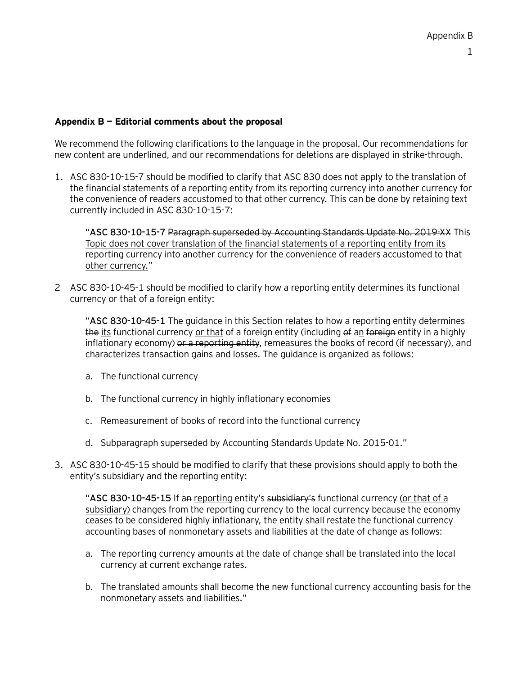#### **Appendix B — Editorial comments about the proposal**

We recommend the following clarifications to the language in the proposal. Our recommendations for new content are underlined, and our recommendations for deletions are displayed in strike-through.

1. ASC 830-10-15-7 should be modified to clarify that ASC 830 does not apply to the translation of the financial statements of a reporting entity from its reporting currency into another currency for the convenience of readers accustomed to that other currency. This can be done by retaining text currently included in ASC 830-10-15-7:

"**ASC 830-10-15-7** Paragraph superseded by Accounting Standards Update No. 2019-XX This Topic does not cover translation of the financial statements of a reporting entity from its reporting currency into another currency for the convenience of readers accustomed to that other currency."

2 ASC 830-10-45-1 should be modified to clarify how a reporting entity determines its functional currency or that of a foreign entity:

"**ASC 830-10-45-1** The guidance in this Section relates to how a reporting entity determines the its functional currency or that of a foreign entity (including of an foreign entity in a highly inflationary economy) or a reporting entity, remeasures the books of record (if necessary), and characterizes transaction gains and losses. The guidance is organized as follows:

- a. The functional currency
- b. The functional currency in highly inflationary economies
- c. Remeasurement of books of record into the functional currency
- d. Subparagraph superseded by Accounting Standards Update No. 2015-01."
- 3. ASC 830-10-45-15 should be modified to clarify that these provisions should apply to both the entity's subsidiary and the reporting entity:

"**ASC 830-10-45-15** If an reporting entity's subsidiary's functional currency (or that of a subsidiary) changes from the reporting currency to the local currency because the economy ceases to be considered highly inflationary, the entity shall restate the functional currency accounting bases of nonmonetary assets and liabilities at the date of change as follows:

- a. The reporting currency amounts at the date of change shall be translated into the local currency at current exchange rates.
- b. The translated amounts shall become the new functional currency accounting basis for the nonmonetary assets and liabilities."